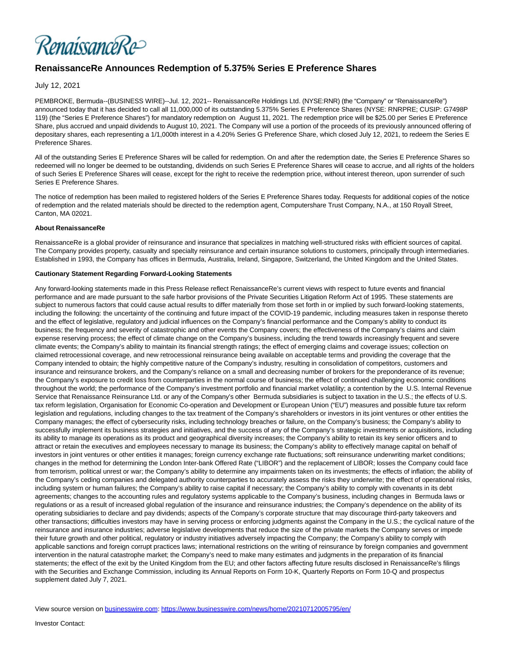RenaissanceRe>

## **RenaissanceRe Announces Redemption of 5.375% Series E Preference Shares**

July 12, 2021

PEMBROKE, Bermuda--(BUSINESS WIRE)--Jul. 12, 2021-- RenaissanceRe Holdings Ltd. (NYSE:RNR) (the "Company" or "RenaissanceRe") announced today that it has decided to call all 11,000,000 of its outstanding 5.375% Series E Preference Shares (NYSE: RNRPRE; CUSIP: G7498P 119) (the "Series E Preference Shares") for mandatory redemption on August 11, 2021. The redemption price will be \$25.00 per Series E Preference Share, plus accrued and unpaid dividends to August 10, 2021. The Company will use a portion of the proceeds of its previously announced offering of depositary shares, each representing a 1/1,000th interest in a 4.20% Series G Preference Share, which closed July 12, 2021, to redeem the Series E Preference Shares.

All of the outstanding Series E Preference Shares will be called for redemption. On and after the redemption date, the Series E Preference Shares so redeemed will no longer be deemed to be outstanding, dividends on such Series E Preference Shares will cease to accrue, and all rights of the holders of such Series E Preference Shares will cease, except for the right to receive the redemption price, without interest thereon, upon surrender of such Series E Preference Shares.

The notice of redemption has been mailed to registered holders of the Series E Preference Shares today. Requests for additional copies of the notice of redemption and the related materials should be directed to the redemption agent, Computershare Trust Company, N.A., at 150 Royall Street, Canton, MA 02021.

## **About RenaissanceRe**

RenaissanceRe is a global provider of reinsurance and insurance that specializes in matching well-structured risks with efficient sources of capital. The Company provides property, casualty and specialty reinsurance and certain insurance solutions to customers, principally through intermediaries. Established in 1993, the Company has offices in Bermuda, Australia, Ireland, Singapore, Switzerland, the United Kingdom and the United States.

## **Cautionary Statement Regarding Forward-Looking Statements**

Any forward-looking statements made in this Press Release reflect RenaissanceRe's current views with respect to future events and financial performance and are made pursuant to the safe harbor provisions of the Private Securities Litigation Reform Act of 1995. These statements are subject to numerous factors that could cause actual results to differ materially from those set forth in or implied by such forward-looking statements, including the following: the uncertainty of the continuing and future impact of the COVID-19 pandemic, including measures taken in response thereto and the effect of legislative, regulatory and judicial influences on the Company's financial performance and the Company's ability to conduct its business; the frequency and severity of catastrophic and other events the Company covers; the effectiveness of the Company's claims and claim expense reserving process; the effect of climate change on the Company's business, including the trend towards increasingly frequent and severe climate events; the Company's ability to maintain its financial strength ratings; the effect of emerging claims and coverage issues; collection on claimed retrocessional coverage, and new retrocessional reinsurance being available on acceptable terms and providing the coverage that the Company intended to obtain; the highly competitive nature of the Company's industry, resulting in consolidation of competitors, customers and insurance and reinsurance brokers, and the Company's reliance on a small and decreasing number of brokers for the preponderance of its revenue; the Company's exposure to credit loss from counterparties in the normal course of business; the effect of continued challenging economic conditions throughout the world; the performance of the Company's investment portfolio and financial market volatility; a contention by the U.S. Internal Revenue Service that Renaissance Reinsurance Ltd. or any of the Company's other Bermuda subsidiaries is subject to taxation in the U.S.; the effects of U.S. tax reform legislation, Organisation for Economic Co-operation and Development or European Union ("EU") measures and possible future tax reform legislation and regulations, including changes to the tax treatment of the Company's shareholders or investors in its joint ventures or other entities the Company manages; the effect of cybersecurity risks, including technology breaches or failure, on the Company's business; the Company's ability to successfully implement its business strategies and initiatives, and the success of any of the Company's strategic investments or acquisitions, including its ability to manage its operations as its product and geographical diversity increases; the Company's ability to retain its key senior officers and to attract or retain the executives and employees necessary to manage its business; the Company's ability to effectively manage capital on behalf of investors in joint ventures or other entities it manages; foreign currency exchange rate fluctuations; soft reinsurance underwriting market conditions; changes in the method for determining the London Inter-bank Offered Rate ("LIBOR") and the replacement of LIBOR; losses the Company could face from terrorism, political unrest or war; the Company's ability to determine any impairments taken on its investments; the effects of inflation; the ability of the Company's ceding companies and delegated authority counterparties to accurately assess the risks they underwrite; the effect of operational risks, including system or human failures; the Company's ability to raise capital if necessary; the Company's ability to comply with covenants in its debt agreements; changes to the accounting rules and regulatory systems applicable to the Company's business, including changes in Bermuda laws or regulations or as a result of increased global regulation of the insurance and reinsurance industries; the Company's dependence on the ability of its operating subsidiaries to declare and pay dividends; aspects of the Company's corporate structure that may discourage third-party takeovers and other transactions; difficulties investors may have in serving process or enforcing judgments against the Company in the U.S.; the cyclical nature of the reinsurance and insurance industries; adverse legislative developments that reduce the size of the private markets the Company serves or impede their future growth and other political, regulatory or industry initiatives adversely impacting the Company; the Company's ability to comply with applicable sanctions and foreign corrupt practices laws; international restrictions on the writing of reinsurance by foreign companies and government intervention in the natural catastrophe market; the Company's need to make many estimates and judgments in the preparation of its financial statements; the effect of the exit by the United Kingdom from the EU; and other factors affecting future results disclosed in RenaissanceRe's filings with the Securities and Exchange Commission, including its Annual Reports on Form 10-K, Quarterly Reports on Form 10-Q and prospectus supplement dated July 7, 2021.